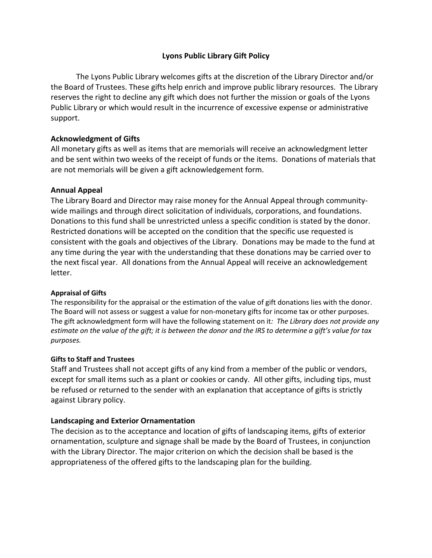# **Lyons Public Library Gift Policy**

The Lyons Public Library welcomes gifts at the discretion of the Library Director and/or the Board of Trustees. These gifts help enrich and improve public library resources. The Library reserves the right to decline any gift which does not further the mission or goals of the Lyons Public Library or which would result in the incurrence of excessive expense or administrative support.

# **Acknowledgment of Gifts**

All monetary gifts as well as items that are memorials will receive an acknowledgment letter and be sent within two weeks of the receipt of funds or the items. Donations of materials that are not memorials will be given a gift acknowledgement form.

## **Annual Appeal**

The Library Board and Director may raise money for the Annual Appeal through communitywide mailings and through direct solicitation of individuals, corporations, and foundations. Donations to this fund shall be unrestricted unless a specific condition is stated by the donor. Restricted donations will be accepted on the condition that the specific use requested is consistent with the goals and objectives of the Library. Donations may be made to the fund at any time during the year with the understanding that these donations may be carried over to the next fiscal year. All donations from the Annual Appeal will receive an acknowledgement letter.

### **Appraisal of Gifts**

The responsibility for the appraisal or the estimation of the value of gift donations lies with the donor. The Board will not assess or suggest a value for non-monetary gifts for income tax or other purposes. The gift acknowledgment form will have the following statement on it*: The Library does not provide any estimate on the value of the gift; it is between the donor and the IRS to determine a gift's value for tax purposes.*

### **Gifts to Staff and Trustees**

Staff and Trustees shall not accept gifts of any kind from a member of the public or vendors, except for small items such as a plant or cookies or candy. All other gifts, including tips, must be refused or returned to the sender with an explanation that acceptance of gifts is strictly against Library policy.

### **Landscaping and Exterior Ornamentation**

The decision as to the acceptance and location of gifts of landscaping items, gifts of exterior ornamentation, sculpture and signage shall be made by the Board of Trustees, in conjunction with the Library Director. The major criterion on which the decision shall be based is the appropriateness of the offered gifts to the landscaping plan for the building.